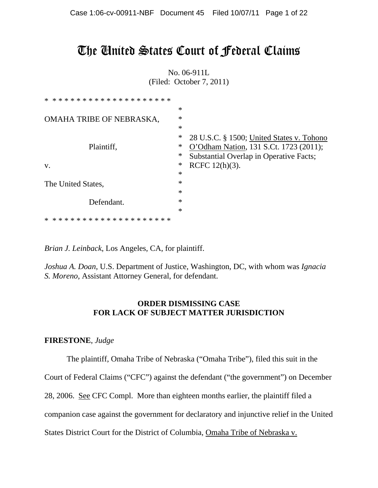# The United States Court of Federal Claims

No. 06-911L (Filed: October 7, 2011)

| ********************<br>$\ast$         |        |                                                |
|----------------------------------------|--------|------------------------------------------------|
|                                        | $\ast$ |                                                |
| OMAHA TRIBE OF NEBRASKA,               | $\ast$ |                                                |
|                                        | *      |                                                |
|                                        | ∗      | 28 U.S.C. § 1500; United States v. Tohono      |
| Plaintiff,                             | ∗      | O'Odham Nation, 131 S.Ct. 1723 (2011);         |
|                                        | ∗      | <b>Substantial Overlap in Operative Facts;</b> |
| V.                                     | ∗      | RCFC $12(h)(3)$ .                              |
|                                        | $\ast$ |                                                |
| The United States,                     | $\ast$ |                                                |
|                                        | $\ast$ |                                                |
| Defendant.                             | $\ast$ |                                                |
|                                        | $\ast$ |                                                |
| * * * * * * * * * * * *<br>∗<br>$\ast$ |        |                                                |

*Brian J. Leinback*, Los Angeles, CA, for plaintiff.

*Joshua A. Doan*, U.S. Department of Justice, Washington, DC, with whom was *Ignacia S. Moreno,* Assistant Attorney General, for defendant.

# **ORDER DISMISSING CASE FOR LACK OF SUBJECT MATTER JURISDICTION**

## **FIRESTONE**, *Judge*

The plaintiff, Omaha Tribe of Nebraska ("Omaha Tribe"), filed this suit in the

Court of Federal Claims ("CFC") against the defendant ("the government") on December

28, 2006. See CFC Compl. More than eighteen months earlier, the plaintiff filed a

companion case against the government for declaratory and injunctive relief in the United

States District Court for the District of Columbia, Omaha Tribe of Nebraska v.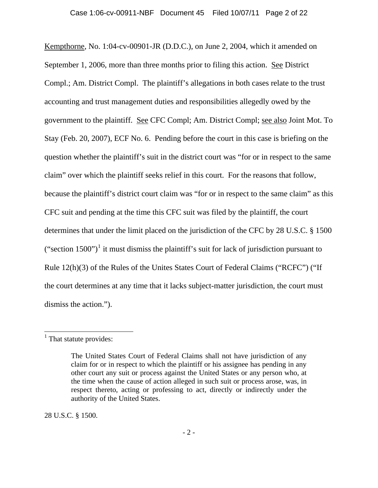Kempthorne, No. 1:04-cv-00901-JR (D.D.C.), on June 2, 2004, which it amended on September 1, 2006, more than three months prior to filing this action. See District Compl.; Am. District Compl. The plaintiff's allegations in both cases relate to the trust accounting and trust management duties and responsibilities allegedly owed by the government to the plaintiff. See CFC Compl; Am. District Compl; see also Joint Mot. To Stay (Feb. 20, 2007), ECF No. 6. Pending before the court in this case is briefing on the question whether the plaintiff's suit in the district court was "for or in respect to the same claim" over which the plaintiff seeks relief in this court. For the reasons that follow, because the plaintiff's district court claim was "for or in respect to the same claim" as this CFC suit and pending at the time this CFC suit was filed by the plaintiff, the court determines that under the limit placed on the jurisdiction of the CFC by 28 U.S.C. § 1500 ("section [1](#page-1-0)500")<sup>1</sup> it must dismiss the plaintiff's suit for lack of jurisdiction pursuant to Rule 12(h)(3) of the Rules of the Unites States Court of Federal Claims ("RCFC") ("If the court determines at any time that it lacks subject-matter jurisdiction, the court must dismiss the action.").

 $\overline{a}$ 

28 U.S.C. § 1500.

<span id="page-1-0"></span><sup>&</sup>lt;sup>1</sup> That statute provides:

The United States Court of Federal Claims shall not have jurisdiction of any claim for or in respect to which the plaintiff or his assignee has pending in any other court any suit or process against the United States or any person who, at the time when the cause of action alleged in such suit or process arose, was, in respect thereto, acting or professing to act, directly or indirectly under the authority of the United States.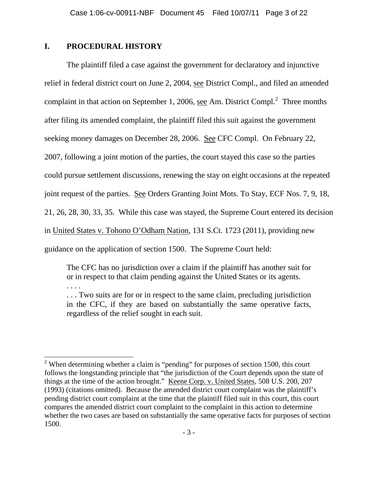#### **I. PROCEDURAL HISTORY**

. . . .

 The plaintiff filed a case against the government for declaratory and injunctive relief in federal district court on June 2, 2004, see District Compl., and filed an amended complaint in that action on September 1, [2](#page-2-0)006, <u>see</u> Am. District Compl.<sup>2</sup> Three months after filing its amended complaint, the plaintiff filed this suit against the government seeking money damages on December 28, 2006. See CFC Compl. On February 22, 2007, following a joint motion of the parties, the court stayed this case so the parties could pursue settlement discussions, renewing the stay on eight occasions at the repeated joint request of the parties. See Orders Granting Joint Mots. To Stay, ECF Nos. 7, 9, 18, 21, 26, 28, 30, 33, 35. While this case was stayed, the Supreme Court entered its decision in United States v. Tohono O'Odham Nation, 131 S.Ct. 1723 (2011), providing new guidance on the application of section 1500. The Supreme Court held:

The CFC has no jurisdiction over a claim if the plaintiff has another suit for or in respect to that claim pending against the United States or its agents.

. . . Two suits are for or in respect to the same claim, precluding jurisdiction in the CFC, if they are based on substantially the same operative facts, regardless of the relief sought in each suit.

<span id="page-2-0"></span><sup>&</sup>lt;sup>2</sup> When determining whether a claim is "pending" for purposes of section 1500, this court follows the longstanding principle that "the jurisdiction of the Court depends upon the state of things at the time of the action brought." Keene Corp. v. United States, 508 U.S. 200, 207 (1993) (citations omitted). Because the amended district court complaint was the plaintiff's pending district court complaint at the time that the plaintiff filed suit in this court, this court compares the amended district court complaint to the complaint in this action to determine whether the two cases are based on substantially the same operative facts for purposes of section 1500.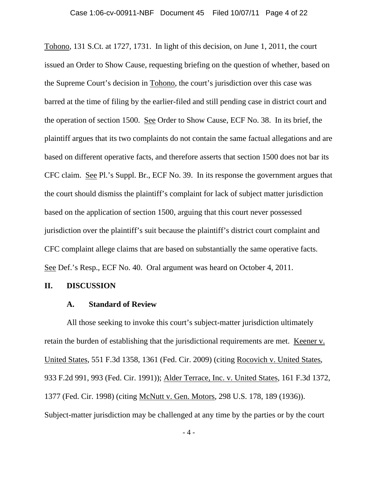Tohono, 131 S.Ct. at 1727, 1731. In light of this decision, on June 1, 2011, the court issued an Order to Show Cause, requesting briefing on the question of whether, based on the Supreme Court's decision in Tohono, the court's jurisdiction over this case was barred at the time of filing by the earlier-filed and still pending case in district court and the operation of section 1500. See Order to Show Cause, ECF No. 38. In its brief, the plaintiff argues that its two complaints do not contain the same factual allegations and are based on different operative facts, and therefore asserts that section 1500 does not bar its CFC claim. See Pl.'s Suppl. Br., ECF No. 39. In its response the government argues that the court should dismiss the plaintiff's complaint for lack of subject matter jurisdiction based on the application of section 1500, arguing that this court never possessed jurisdiction over the plaintiff's suit because the plaintiff's district court complaint and CFC complaint allege claims that are based on substantially the same operative facts. See Def.'s Resp., ECF No. 40. Oral argument was heard on October 4, 2011.

#### **II. DISCUSSION**

#### **A. Standard of Review**

 All those seeking to invoke this court's subject-matter jurisdiction ultimately retain the burden of establishing that the jurisdictional requirements are met. Keener v. United States, 551 F.3d 1358, 1361 (Fed. Cir. 2009) (citing Rocovich v. United States, 933 F.2d 991, 993 (Fed. Cir. 1991)); Alder Terrace, Inc. v. United States, 161 F.3d 1372, 1377 (Fed. Cir. 1998) (citing McNutt v. Gen. Motors, 298 U.S. 178, 189 (1936)). Subject-matter jurisdiction may be challenged at any time by the parties or by the court

- 4 -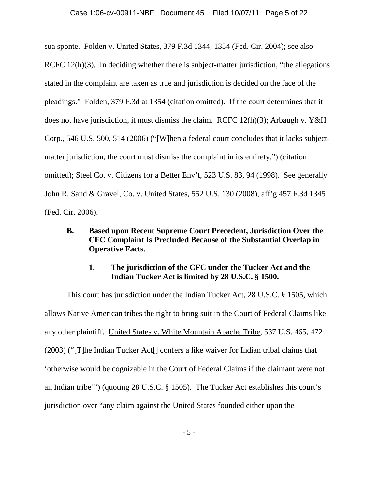sua sponte. Folden v. United States, 379 F.3d 1344, 1354 (Fed. Cir. 2004); see also RCFC 12(h)(3). In deciding whether there is subject-matter jurisdiction, "the allegations" stated in the complaint are taken as true and jurisdiction is decided on the face of the pleadings." Folden, 379 F.3d at 1354 (citation omitted). If the court determines that it does not have jurisdiction, it must dismiss the claim. RCFC 12(h)(3); Arbaugh v. Y&H Corp., 546 U.S. 500, 514 (2006) ("[W]hen a federal court concludes that it lacks subjectmatter jurisdiction, the court must dismiss the complaint in its entirety.") (citation omitted); Steel Co. v. Citizens for a Better Env't, 523 U.S. 83, 94 (1998). See generally John R. Sand & Gravel, Co. v. United States, 552 U.S. 130 (2008), aff'g 457 F.3d 1345 (Fed. Cir. 2006).

# **B. Based upon Recent Supreme Court Precedent, Jurisdiction Over the CFC Complaint Is Precluded Because of the Substantial Overlap in Operative Facts.**

## **1. The jurisdiction of the CFC under the Tucker Act and the Indian Tucker Act is limited by 28 U.S.C. § 1500.**

 This court has jurisdiction under the Indian Tucker Act, 28 U.S.C. § 1505, which allows Native American tribes the right to bring suit in the Court of Federal Claims like any other plaintiff. United States v. White Mountain Apache Tribe, 537 U.S. 465, 472 (2003) ("[T]he Indian Tucker Act[] confers a like waiver for Indian tribal claims that 'otherwise would be cognizable in the Court of Federal Claims if the claimant were not an Indian tribe'") (quoting 28 U.S.C. § 1505). The Tucker Act establishes this court's jurisdiction over "any claim against the United States founded either upon the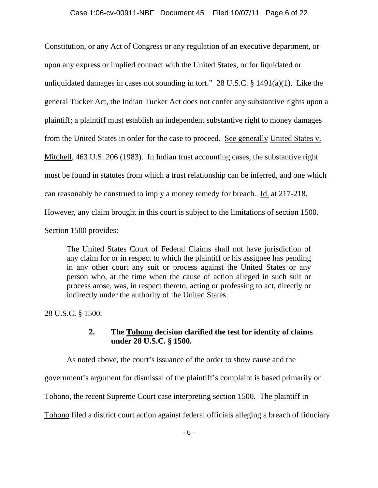Constitution, or any Act of Congress or any regulation of an executive department, or upon any express or implied contract with the United States, or for liquidated or unliquidated damages in cases not sounding in tort." 28 U.S.C.  $\S$  1491(a)(1). Like the general Tucker Act, the Indian Tucker Act does not confer any substantive rights upon a plaintiff; a plaintiff must establish an independent substantive right to money damages from the United States in order for the case to proceed. See generally United States v. Mitchell, 463 U.S. 206 (1983). In Indian trust accounting cases, the substantive right must be found in statutes from which a trust relationship can be inferred, and one which can reasonably be construed to imply a money remedy for breach. Id. at 217-218. However, any claim brought in this court is subject to the limitations of section 1500. Section 1500 provides:

The United States Court of Federal Claims shall not have jurisdiction of any claim for or in respect to which the plaintiff or his assignee has pending in any other court any suit or process against the United States or any person who, at the time when the cause of action alleged in such suit or process arose, was, in respect thereto, acting or professing to act, directly or indirectly under the authority of the United States.

28 U.S.C. § 1500.

## **2. The Tohono decision clarified the test for identity of claims under 28 U.S.C. § 1500.**

 As noted above, the court's issuance of the order to show cause and the government's argument for dismissal of the plaintiff's complaint is based primarily on Tohono, the recent Supreme Court case interpreting section 1500. The plaintiff in Tohono filed a district court action against federal officials alleging a breach of fiduciary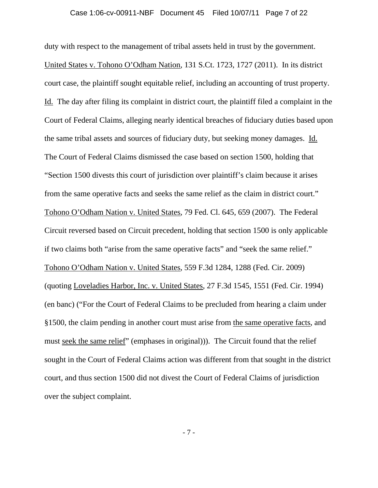duty with respect to the management of tribal assets held in trust by the government. United States v. Tohono O'Odham Nation, 131 S.Ct. 1723, 1727 (2011). In its district court case, the plaintiff sought equitable relief, including an accounting of trust property. Id. The day after filing its complaint in district court, the plaintiff filed a complaint in the Court of Federal Claims, alleging nearly identical breaches of fiduciary duties based upon the same tribal assets and sources of fiduciary duty, but seeking money damages. Id. The Court of Federal Claims dismissed the case based on section 1500, holding that "Section 1500 divests this court of jurisdiction over plaintiff's claim because it arises from the same operative facts and seeks the same relief as the claim in district court." Tohono O'Odham Nation v. United States, 79 Fed. Cl. 645, 659 (2007). The Federal Circuit reversed based on Circuit precedent, holding that section 1500 is only applicable if two claims both "arise from the same operative facts" and "seek the same relief." Tohono O'Odham Nation v. United States, 559 F.3d 1284, 1288 (Fed. Cir. 2009) (quoting Loveladies Harbor, Inc. v. United States, 27 F.3d 1545, 1551 (Fed. Cir. 1994) (en banc) ("For the Court of Federal Claims to be precluded from hearing a claim under §1500, the claim pending in another court must arise from the same operative facts, and must seek the same relief" (emphases in original))). The Circuit found that the relief sought in the Court of Federal Claims action was different from that sought in the district court, and thus section 1500 did not divest the Court of Federal Claims of jurisdiction over the subject complaint.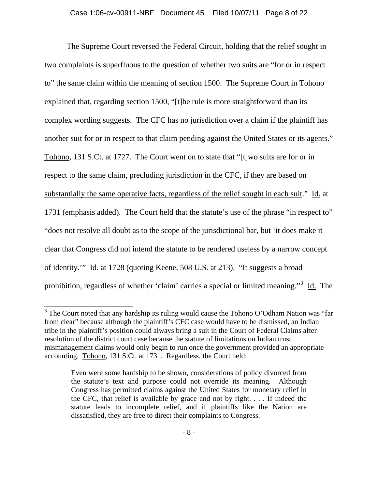The Supreme Court reversed the Federal Circuit, holding that the relief sought in two complaints is superfluous to the question of whether two suits are "for or in respect to" the same claim within the meaning of section 1500. The Supreme Court in Tohono explained that, regarding section 1500, "[t]he rule is more straightforward than its complex wording suggests. The CFC has no jurisdiction over a claim if the plaintiff has another suit for or in respect to that claim pending against the United States or its agents." Tohono, 131 S.Ct. at 1727. The Court went on to state that "[t]wo suits are for or in respect to the same claim, precluding jurisdiction in the CFC, if they are based on substantially the same operative facts, regardless of the relief sought in each suit." Id. at 1731 (emphasis added). The Court held that the statute's use of the phrase "in respect to" "does not resolve all doubt as to the scope of the jurisdictional bar, but 'it does make it clear that Congress did not intend the statute to be rendered useless by a narrow concept of identity.'" Id. at 1728 (quoting Keene, 508 U.S. at 213). "It suggests a broad prohibition, regardless of whether 'claim' carries a special or limited meaning."<sup>[3](#page-7-0)</sup> Id. The

<span id="page-7-0"></span><sup>&</sup>lt;sup>3</sup> The Court noted that any hardship its ruling would cause the Tohono O'Odham Nation was "far from clear" because although the plaintiff's CFC case would have to be dismissed, an Indian tribe in the plaintiff's position could always bring a suit in the Court of Federal Claims after resolution of the district court case because the statute of limitations on Indian trust mismanagement claims would only begin to run once the government provided an appropriate accounting. Tohono, 131 S.Ct. at 1731. Regardless, the Court held:

Even were some hardship to be shown, considerations of policy divorced from the statute's text and purpose could not override its meaning. Although Congress has permitted claims against the United States for monetary relief in the CFC, that relief is available by grace and not by right. . . . If indeed the statute leads to incomplete relief, and if plaintiffs like the Nation are dissatisfied, they are free to direct their complaints to Congress.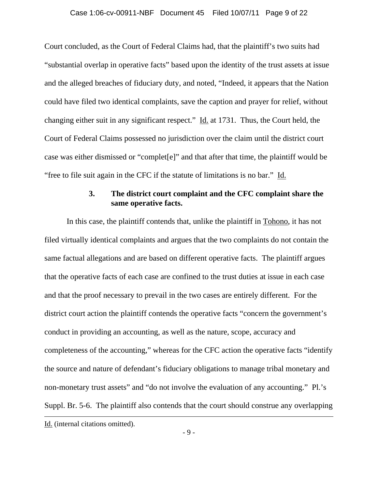Court concluded, as the Court of Federal Claims had, that the plaintiff's two suits had "substantial overlap in operative facts" based upon the identity of the trust assets at issue and the alleged breaches of fiduciary duty, and noted, "Indeed, it appears that the Nation could have filed two identical complaints, save the caption and prayer for relief, without changing either suit in any significant respect." Id. at 1731. Thus, the Court held, the Court of Federal Claims possessed no jurisdiction over the claim until the district court case was either dismissed or "complet[e]" and that after that time, the plaintiff would be "free to file suit again in the CFC if the statute of limitations is no bar." Id.

#### **3. The district court complaint and the CFC complaint share the same operative facts.**

 In this case, the plaintiff contends that, unlike the plaintiff in Tohono, it has not filed virtually identical complaints and argues that the two complaints do not contain the same factual allegations and are based on different operative facts. The plaintiff argues that the operative facts of each case are confined to the trust duties at issue in each case and that the proof necessary to prevail in the two cases are entirely different. For the district court action the plaintiff contends the operative facts "concern the government's conduct in providing an accounting, as well as the nature, scope, accuracy and completeness of the accounting," whereas for the CFC action the operative facts "identify the source and nature of defendant's fiduciary obligations to manage tribal monetary and non-monetary trust assets" and "do not involve the evaluation of any accounting." Pl.'s Suppl. Br. 5-6. The plaintiff also contends that the court should construe any overlapping  $\overline{a}$ Id. (internal citations omitted).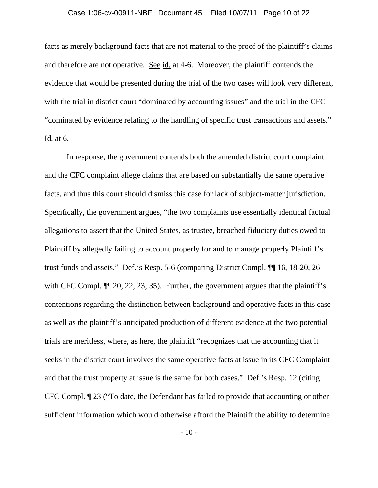## Case 1:06-cv-00911-NBF Document 45 Filed 10/07/11 Page 10 of 22

facts as merely background facts that are not material to the proof of the plaintiff's claims and therefore are not operative. See id. at 4-6. Moreover, the plaintiff contends the evidence that would be presented during the trial of the two cases will look very different, with the trial in district court "dominated by accounting issues" and the trial in the CFC "dominated by evidence relating to the handling of specific trust transactions and assets." Id. at 6.

In response, the government contends both the amended district court complaint and the CFC complaint allege claims that are based on substantially the same operative facts, and thus this court should dismiss this case for lack of subject-matter jurisdiction. Specifically, the government argues, "the two complaints use essentially identical factual allegations to assert that the United States, as trustee, breached fiduciary duties owed to Plaintiff by allegedly failing to account properly for and to manage properly Plaintiff's trust funds and assets." Def.'s Resp. 5-6 (comparing District Compl. ¶¶ 16, 18-20, 26 with CFC Compl.  $\P$ [20, 22, 23, 35). Further, the government argues that the plaintiff's contentions regarding the distinction between background and operative facts in this case as well as the plaintiff's anticipated production of different evidence at the two potential trials are meritless, where, as here, the plaintiff "recognizes that the accounting that it seeks in the district court involves the same operative facts at issue in its CFC Complaint and that the trust property at issue is the same for both cases." Def.'s Resp. 12 (citing CFC Compl. ¶ 23 ("To date, the Defendant has failed to provide that accounting or other sufficient information which would otherwise afford the Plaintiff the ability to determine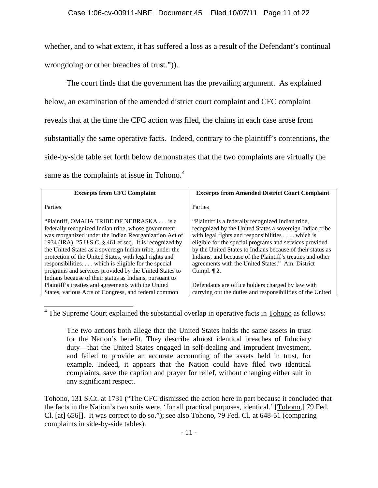whether, and to what extent, it has suffered a loss as a result of the Defendant's continual wrongdoing or other breaches of trust.")).

 The court finds that the government has the prevailing argument. As explained below, an examination of the amended district court complaint and CFC complaint reveals that at the time the CFC action was filed, the claims in each case arose from substantially the same operative facts. Indeed, contrary to the plaintiff's contentions, the side-by-side table set forth below demonstrates that the two complaints are virtually the same as the complaints at issue in Tohono.<sup>[4](#page-10-0)</sup>

| <b>Excerpts from CFC Complaint</b>                                                                                                                                                                                                                                                                                                                                                                                                                                                                                    | <b>Excerpts from Amended District Court Complaint</b>                                                                                                                                                                                                                                                                                                                                                                                  |
|-----------------------------------------------------------------------------------------------------------------------------------------------------------------------------------------------------------------------------------------------------------------------------------------------------------------------------------------------------------------------------------------------------------------------------------------------------------------------------------------------------------------------|----------------------------------------------------------------------------------------------------------------------------------------------------------------------------------------------------------------------------------------------------------------------------------------------------------------------------------------------------------------------------------------------------------------------------------------|
| Parties                                                                                                                                                                                                                                                                                                                                                                                                                                                                                                               | Parties                                                                                                                                                                                                                                                                                                                                                                                                                                |
| "Plaintiff, OMAHA TRIBE OF NEBRASKA is a<br>federally recognized Indian tribe, whose government<br>was reorganized under the Indian Reorganization Act of<br>1934 (IRA), 25 U.S.C. § 461 et seq. It is recognized by<br>the United States as a sovereign Indian tribe, under the<br>protection of the United States, with legal rights and<br>responsibilities which is eligible for the special<br>programs and services provided by the United States to<br>Indians because of their status as Indians, pursuant to | "Plaintiff is a federally recognized Indian tribe,<br>recognized by the United States a sovereign Indian tribe<br>with legal rights and responsibilities $\dots$ which is<br>eligible for the special programs and services provided<br>by the United States to Indians because of their status as<br>Indians, and because of the Plaintiff's treaties and other<br>agreements with the United States." Am. District<br>Compl. $\P$ 2. |
| Plaintiff's treaties and agreements with the United                                                                                                                                                                                                                                                                                                                                                                                                                                                                   | Defendants are office holders charged by law with                                                                                                                                                                                                                                                                                                                                                                                      |
| States, various Acts of Congress, and federal common                                                                                                                                                                                                                                                                                                                                                                                                                                                                  | carrying out the duties and responsibilities of the United                                                                                                                                                                                                                                                                                                                                                                             |

<span id="page-10-0"></span> $4$  The Supreme Court explained the substantial overlap in operative facts in  $Tohono$  as follows:

 $\overline{a}$ 

The two actions both allege that the United States holds the same assets in trust for the Nation's benefit. They describe almost identical breaches of fiduciary duty—that the United States engaged in self-dealing and imprudent investment, and failed to provide an accurate accounting of the assets held in trust, for example. Indeed, it appears that the Nation could have filed two identical complaints, save the caption and prayer for relief, without changing either suit in any significant respect.

Tohono, 131 S.Ct. at 1731 ("The CFC dismissed the action here in part because it concluded that the facts in the Nation's two suits were, 'for all practical purposes, identical.' [Tohono,] 79 Fed. Cl. [at] 656[]. It was correct to do so."); see also Tohono, 79 Fed. Cl. at 648-51 (comparing complaints in side-by-side tables).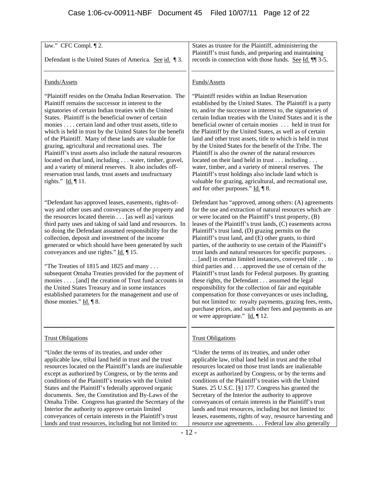| law." CFC Compl. [2.<br>Defendant is the United States of America. See id. 13.                                                                                                                                                                                                                                                                                                                                                                                                                                                                                                                                                                                                                                                                                                                                     | States as trustee for the Plaintiff, administering the<br>Plaintiff's trust funds, and preparing and maintaining<br>records in connection with those funds. See Id. 11 3-5.                                                                                                                                                                                                                                                                                                                                                                                                                                                                                                                                                                                                                                                                                                                                                                                                                                                                                                                                              |
|--------------------------------------------------------------------------------------------------------------------------------------------------------------------------------------------------------------------------------------------------------------------------------------------------------------------------------------------------------------------------------------------------------------------------------------------------------------------------------------------------------------------------------------------------------------------------------------------------------------------------------------------------------------------------------------------------------------------------------------------------------------------------------------------------------------------|--------------------------------------------------------------------------------------------------------------------------------------------------------------------------------------------------------------------------------------------------------------------------------------------------------------------------------------------------------------------------------------------------------------------------------------------------------------------------------------------------------------------------------------------------------------------------------------------------------------------------------------------------------------------------------------------------------------------------------------------------------------------------------------------------------------------------------------------------------------------------------------------------------------------------------------------------------------------------------------------------------------------------------------------------------------------------------------------------------------------------|
| Funds/Assets<br>"Plaintiff resides on the Omaha Indian Reservation. The<br>Plaintiff remains the successor in interest to the<br>signatories of certain Indian treaties with the United<br>States. Plaintiff is the beneficial owner of certain<br>monies certain land and other trust assets, title to<br>which is held in trust by the United States for the benefit<br>of the Plaintiff. Many of these lands are valuable for<br>grazing, agricultural and recreational uses. The<br>Plaintiff's trust assets also include the natural resources<br>located on that land, including water, timber, gravel,<br>and a variety of mineral reserves. It also includes off-<br>reservation trust lands, trust assets and usufructuary                                                                                | Funds/Assets<br>"Plaintiff resides within an Indian Reservation<br>established by the United States. The Plaintiff is a party<br>to, and/or the successor in interest to, the signatories of<br>certain Indian treaties with the United States and it is the<br>beneficial owner of certain monies  held in trust for<br>the Plaintiff by the United States, as well as of certain<br>land and other trust assets, title to which is held in trust<br>by the United States for the benefit of the Tribe. The<br>Plaintiff is also the owner of the natural resources<br>located on their land held in trust including<br>water, timber, and a variety of mineral reserves. The<br>Plaintiff's trust holdings also include land which is                                                                                                                                                                                                                                                                                                                                                                                  |
| rights." Id. $\P$ 11.<br>"Defendant has approved leases, easements, rights-of-<br>way and other uses and conveyances of the property and<br>the resources located therein [as well as] various<br>third party uses and taking of said land and resources. In<br>so doing the Defendant assumed responsibility for the<br>collection, deposit and investment of the income<br>generated or which should have been generated by such<br>conveyances and use rights." $\underline{Id}$ . $\P$ 15.<br>"The Treaties of 1815 and 1825 and many<br>subsequent Omaha Treaties provided for the payment of<br>monies [and] the creation of Trust fund accounts in<br>the United States Treasury and in some instances<br>established parameters for the management and use of<br>those monies." $\underline{Id}$ . $\P$ 8. | valuable for grazing, agricultural, and recreational use,<br>and for other purposes." Id. 18.<br>Defendant has "approved, among others: (A) agreements<br>for the use and extraction of natural resources which are<br>or were located on the Plaintiff's trust property, (B)<br>leases of the Plaintiff's trust lands, (C) easements across<br>Plaintiff's trust land, (D) grazing permits on the<br>Plaintiff's trust land, and (E) other grants, to third<br>parties, of the authority to use certain of the Plaintiff's<br>trust lands and natural resources for specific purposes<br>[and] in certain limited instances, conveyed title to<br>third parties and approved the use of certain of the<br>Plaintiff's trust lands for Federal purposes. By granting<br>these rights, the Defendant assumed the legal<br>responsibility for the collection of fair and equitable<br>compensation for those conveyances or uses including,<br>but not limited to: royalty payments, grazing fees, rents,<br>purchase prices, and such other fees and payments as are<br>or were appropriate." $\underline{Id}$ . $\P$ 12. |
| <b>Trust Obligations</b><br>"Under the terms of its treaties, and under other<br>applicable law, tribal land held in trust and the trust<br>resources located on the Plaintiff's lands are inalienable<br>except as authorized by Congress, or by the terms and<br>conditions of the Plaintiff's treaties with the United<br>States and the Plaintiff's federally approved organic<br>documents. See, the Constitution and By-Laws of the<br>Omaha Tribe. Congress has granted the Secretary of the<br>Interior the authority to approve certain limited<br>conveyances of certain interests in the Plaintiff's trust<br>lands and trust resources, including but not limited to:                                                                                                                                  | <b>Trust Obligations</b><br>"Under the terms of its treaties, and under other<br>applicable law, tribal land held in trust and the tribal<br>resources located on those trust lands are inalienable<br>except as authorized by Congress, or by the terms and<br>conditions of the Plaintiff's treaties with the United<br>States. 25 U.S.C. [§] 177. Congress has granted the<br>Secretary of the Interior the authority to approve<br>conveyances of certain interests in the Plaintiff's trust<br>lands and trust resources, including but not limited to:<br>leases, easements, rights of way, resource harvesting and<br>resource use agreements. Federal law also generally                                                                                                                                                                                                                                                                                                                                                                                                                                         |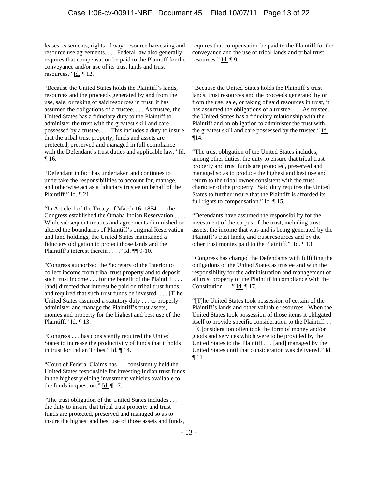| leases, easements, rights of way, resource harvesting and<br>resource use agreements. Federal law also generally<br>requires that compensation be paid to the Plaintiff for the<br>conveyance and/or use of its trust lands and trust<br>resources." $\underline{Id}$ . 12.                                                                                                                                                                                                                                                   | requires that compensation be paid to the Plaintiff for the<br>conveyance and the use of tribal lands and tribal trust<br>resources." $\underline{Id}$ . $\P$ 9.                                                                                                                                                                                                                                                                          |
|-------------------------------------------------------------------------------------------------------------------------------------------------------------------------------------------------------------------------------------------------------------------------------------------------------------------------------------------------------------------------------------------------------------------------------------------------------------------------------------------------------------------------------|-------------------------------------------------------------------------------------------------------------------------------------------------------------------------------------------------------------------------------------------------------------------------------------------------------------------------------------------------------------------------------------------------------------------------------------------|
| "Because the United States holds the Plaintiff's lands,<br>resources and the proceeds generated by and from the<br>use, sale, or taking of said resources in trust, it has<br>assumed the obligations of a trustee As trustee, the<br>United States has a fiduciary duty to the Plaintiff to<br>administer the trust with the greatest skill and care<br>possessed by a trustee This includes a duty to insure<br>that the tribal trust property, funds and assets are<br>protected, preserved and managed in full compliance | "Because the United States holds the Plaintiff's trust<br>lands, trust resources and the proceeds generated by or<br>from the use, sale, or taking of said resources in trust, it<br>has assumed the obligations of a trustee As trustee,<br>the United States has a fiduciary relationship with the<br>Plaintiff and an obligation to administer the trust with<br>the greatest skill and care possessed by the trustee." Id.<br>$\P14.$ |
| with the Defendant's trust duties and applicable law." Id.<br>$\P$ 16.<br>"Defendant in fact has undertaken and continues to<br>undertake the responsibilities to account for, manage,<br>and otherwise act as a fiduciary trustee on behalf of the<br>Plaintiff." Id. 121.                                                                                                                                                                                                                                                   | "The trust obligation of the United States includes,<br>among other duties, the duty to ensure that tribal trust<br>property and trust funds are protected, preserved and<br>managed so as to produce the highest and best use and<br>return to the tribal owner consistent with the trust<br>character of the property. Said duty requires the United<br>States to further insure that the Plaintiff is afforded its                     |
| "In Article 1 of the Treaty of March 16, 1854 the<br>Congress established the Omaha Indian Reservation<br>While subsequent treaties and agreements diminished or<br>altered the boundaries of Plaintiff's original Reservation<br>and land holdings, the United States maintained a<br>fiduciary obligation to protect those lands and the<br>Plaintiff's interest therein " Id. $\P$ 9-10.                                                                                                                                   | full rights to compensation." $\underline{Id}$ . $\P$ 15.<br>"Defendants have assumed the responsibility for the<br>investment of the corpus of the trust, including trust<br>assets, the income that was and is being generated by the<br>Plaintiff's trust lands, and trust resources and by the<br>other trust monies paid to the Plaintiff." $\underline{Id.} \P 13$ .                                                                |
| "Congress authorized the Secretary of the Interior to<br>collect income from tribal trust property and to deposit<br>such trust income for the benefit of the Plaintiff.<br>[and] directed that interest be paid on tribal trust funds,                                                                                                                                                                                                                                                                                       | "Congress has charged the Defendants with fulfilling the<br>obligations of the United States as trustee and with the<br>responsibility for the administration and management of<br>all trust property of the Plaintiff in compliance with the<br>Constitution" Id. $\P$ 17.                                                                                                                                                               |
| and required that such trust funds be invested. [T]he<br>United States assumed a statutory duty to properly<br>administer and manage the Plaintiff's trust assets,<br>monies and property for the highest and best use of the<br>Plaintiff." Id. 13.                                                                                                                                                                                                                                                                          | "[T]he United States took possession of certain of the<br>Plaintiff's lands and other valuable resources. When the<br>United States took possession of those items it obligated<br>itself to provide specific consideration to the Plaintiff<br>. [C]onsideration often took the form of money and/or                                                                                                                                     |
| "Congress has consistently required the United<br>States to increase the productivity of funds that it holds<br>in trust for Indian Tribes." Id. ¶ 14.                                                                                                                                                                                                                                                                                                                                                                        | goods and services which were to be provided by the<br>United States to the Plaintiff [and] managed by the<br>United States until that consideration was delivered." Id.                                                                                                                                                                                                                                                                  |
| "Court of Federal Claims has  consistently held the<br>United States responsible for investing Indian trust funds<br>in the highest yielding investment vehicles available to<br>the funds in question." $\underline{Id}$ . [17.]                                                                                                                                                                                                                                                                                             | $\P$ 11.                                                                                                                                                                                                                                                                                                                                                                                                                                  |
| "The trust obligation of the United States includes<br>the duty to insure that tribal trust property and trust<br>funds are protected, preserved and managed so as to<br>insure the highest and best use of those assets and funds,                                                                                                                                                                                                                                                                                           |                                                                                                                                                                                                                                                                                                                                                                                                                                           |

insure the highest and best use of those assets and funds,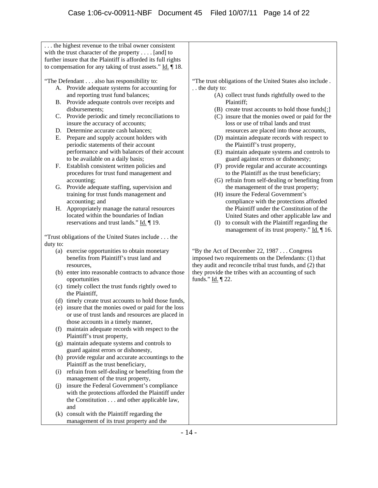|          | the highest revenue to the tribal owner consistent                        |                                                           |
|----------|---------------------------------------------------------------------------|-----------------------------------------------------------|
|          | with the trust character of the property $\dots$ [and] to                 |                                                           |
|          | further insure that the Plaintiff is afforded its full rights             |                                                           |
|          | to compensation for any taking of trust assets." $\underline{Id}$ .   18. |                                                           |
|          |                                                                           |                                                           |
|          | "The Defendant also has responsibility to:                                | "The trust obligations of the United States also include. |
|          | A. Provide adequate systems for accounting for                            | the duty to:                                              |
|          | and reporting trust fund balances;                                        | (A) collect trust funds rightfully owed to the            |
|          | B. Provide adequate controls over receipts and                            | Plaintiff;                                                |
|          | disbursements;                                                            | (B) create trust accounts to hold those funds[;]          |
| C.       | Provide periodic and timely reconciliations to                            | (C) insure that the monies owed or paid for the           |
|          | insure the accuracy of accounts;                                          | loss or use of tribal lands and trust                     |
|          | D. Determine accurate cash balances;                                      | resources are placed into those accounts,                 |
|          |                                                                           |                                                           |
| Е.       | Prepare and supply account holders with                                   | (D) maintain adequate records with respect to             |
|          | periodic statements of their account                                      | the Plaintiff's trust property,                           |
|          | performance and with balances of their account                            | (E) maintain adequate systems and controls to             |
|          | to be available on a daily basis;                                         | guard against errors or dishonesty;                       |
| F.       | Establish consistent written policies and                                 | (F) provide regular and accurate accountings              |
|          | procedures for trust fund management and                                  | to the Plaintiff as the trust beneficiary;                |
|          | accounting;                                                               | (G) refrain from self-dealing or benefiting from          |
| G.       | Provide adequate staffing, supervision and                                | the management of the trust property;                     |
|          | training for trust funds management and                                   | (H) insure the Federal Government's                       |
|          | accounting; and                                                           | compliance with the protections afforded                  |
| Н.       | Appropriately manage the natural resources                                | the Plaintiff under the Constitution of the               |
|          | located within the boundaries of Indian                                   | United States and other applicable law and                |
|          | reservations and trust lands." $\underline{Id}$ . [19.                    | to consult with the Plaintiff regarding the<br>(I)        |
|          |                                                                           | management of its trust property." Id. 16.                |
|          | "Trust obligations of the United States include the                       |                                                           |
| duty to: |                                                                           |                                                           |
|          | (a) exercise opportunities to obtain monetary                             | "By the Act of December 22, 1987 Congress                 |
|          | benefits from Plaintiff's trust land and                                  | imposed two requirements on the Defendants: (1) that      |
|          | resources.                                                                | they audit and reconcile tribal trust funds, and (2) that |
|          | (b) enter into reasonable contracts to advance those                      | they provide the tribes with an accounting of such        |
|          | opportunities                                                             | funds." <b>Id.</b> 122.                                   |
|          | (c) timely collect the trust funds rightly owed to                        |                                                           |
|          | the Plaintiff,                                                            |                                                           |
|          | (d) timely create trust accounts to hold those funds,                     |                                                           |
|          | (e) insure that the monies owed or paid for the loss                      |                                                           |
|          | or use of trust lands and resources are placed in                         |                                                           |
|          |                                                                           |                                                           |
|          | those accounts in a timely manner,                                        |                                                           |
|          | (f) maintain adequate records with respect to the                         |                                                           |
|          | Plaintiff's trust property,                                               |                                                           |
|          | (g) maintain adequate systems and controls to                             |                                                           |
|          | guard against errors or dishonesty,                                       |                                                           |
|          | (h) provide regular and accurate accountings to the                       |                                                           |
|          | Plaintiff as the trust beneficiary,                                       |                                                           |
| (i)      | refrain from self-dealing or benefiting from the                          |                                                           |
|          | management of the trust property,                                         |                                                           |
| (j)      | insure the Federal Government's compliance                                |                                                           |
|          | with the protections afforded the Plaintiff under                         |                                                           |
|          | the Constitution and other applicable law,                                |                                                           |
|          | and                                                                       |                                                           |
|          | (k) consult with the Plaintiff regarding the                              |                                                           |
|          | management of its trust property and the                                  |                                                           |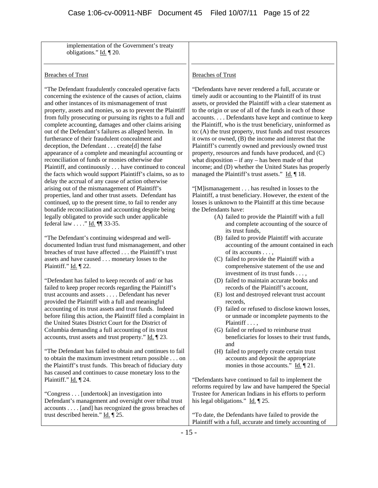| implementation of the Government's treaty                                                                               |                                                                                                                       |
|-------------------------------------------------------------------------------------------------------------------------|-----------------------------------------------------------------------------------------------------------------------|
| obligations." $\underline{Id}$ . $\P$ 20.                                                                               |                                                                                                                       |
|                                                                                                                         |                                                                                                                       |
| <b>Breaches of Trust</b>                                                                                                | <b>Breaches of Trust</b>                                                                                              |
|                                                                                                                         |                                                                                                                       |
| "The Defendant fraudulently concealed operative facts                                                                   | "Defendants have never rendered a full, accurate or                                                                   |
| concerning the existence of the causes of action, claims                                                                | timely audit or accounting to the Plaintiff of its trust                                                              |
| and other instances of its mismanagement of trust                                                                       | assets, or provided the Plaintiff with a clear statement as                                                           |
| property, assets and monies, so as to prevent the Plaintiff                                                             | to the origin or use of all of the funds in each of those                                                             |
| from fully prosecuting or pursuing its rights to a full and                                                             | accounts Defendants have kept and continue to keep                                                                    |
| complete accounting, damages and other claims arising                                                                   | the Plaintiff, who is the trust beneficiary, uninformed as                                                            |
| out of the Defendant's failures as alleged herein. In<br>furtherance of their fraudulent concealment and                | to: (A) the trust property, trust funds and trust resources<br>it owns or owned, (B) the income and interest that the |
| deception, the Defendant create[d] the false                                                                            | Plaintiff's currently owned and previously owned trust                                                                |
| appearance of a complete and meaningful accounting or                                                                   | property, resources and funds have produced, and (C)                                                                  |
| reconciliation of funds or monies otherwise due                                                                         | what disposition $-$ if any $-$ has been made of that                                                                 |
| Plaintiff, and continuously have continued to conceal                                                                   | income; and (D) whether the United States has properly                                                                |
| the facts which would support Plaintiff's claims, so as to                                                              | managed the Plaintiff's trust assets." $\underline{Id}$ . 18.                                                         |
| delay the accrual of any cause of action otherwise                                                                      |                                                                                                                       |
| arising out of the mismanagement of Plaintiff's                                                                         | "[M]ismanagement has resulted in losses to the                                                                        |
| properties, land and other trust assets. Defendant has                                                                  | Plaintiff, a trust beneficiary. However, the extent of the                                                            |
| continued, up to the present time, to fail to render any                                                                | losses is unknown to the Plaintiff at this time because                                                               |
| bonafide reconciliation and accounting despite being                                                                    | the Defendants have:                                                                                                  |
| legally obligated to provide such under applicable                                                                      | (A) failed to provide the Plaintiff with a full                                                                       |
| federal law " Id. $\P$ 33-35.                                                                                           | and complete accounting of the source of                                                                              |
| "The Defendant's continuing widespread and well-                                                                        | its trust funds,<br>(B) failed to provide Plaintiff with accurate                                                     |
| documented Indian trust fund mismanagement, and other                                                                   | accounting of the amount contained in each                                                                            |
| breaches of trust have affected the Plaintiff's trust                                                                   | of its accounts ,                                                                                                     |
| assets and have caused monetary losses to the                                                                           | (C) failed to provide the Plaintiff with a                                                                            |
| Plaintiff." Id. 122.                                                                                                    | comprehensive statement of the use and                                                                                |
|                                                                                                                         | investment of its trust funds ,                                                                                       |
| "Defendant has failed to keep records of and/ or has                                                                    | (D) failed to maintain accurate books and                                                                             |
| failed to keep proper records regarding the Plaintiff's                                                                 | records of the Plaintiff's account,                                                                                   |
| trust accounts and assets Defendant has never                                                                           | (E) lost and destroyed relevant trust account                                                                         |
| provided the Plaintiff with a full and meaningful                                                                       | records.                                                                                                              |
| accounting of its trust assets and trust funds. Indeed<br>before filing this action, the Plaintiff filed a complaint in | (F) failed or refused to disclose known losses,<br>or unmade or incomplete payments to the                            |
| the United States District Court for the District of                                                                    | Plaintiff,                                                                                                            |
| Columbia demanding a full accounting of its trust                                                                       | (G) failed or refused to reimburse trust                                                                              |
| accounts, trust assets and trust property." Id. 1 23.                                                                   | beneficiaries for losses to their trust funds,                                                                        |
|                                                                                                                         | and                                                                                                                   |
| "The Defendant has failed to obtain and continues to fail                                                               | (H) failed to properly create certain trust                                                                           |
| to obtain the maximum investment return possible on                                                                     | accounts and deposit the appropriate                                                                                  |
| the Plaintiff's trust funds. This breach of fiduciary duty                                                              | monies in those accounts." $\underline{Id}$ . $\P$ 21.                                                                |
| has caused and continues to cause monetary loss to the                                                                  |                                                                                                                       |
| Plaintiff." <b>Id.</b> 1 24.                                                                                            | "Defendants have continued to fail to implement the                                                                   |
|                                                                                                                         | reforms required by law and have hampered the Special                                                                 |
| "Congress [undertook] an investigation into<br>Defendant's management and oversight over tribal trust                   | Trustee for American Indians in his efforts to perform<br>his legal obligations." $\underline{Id}$ . $\P$ 25.         |
| accounts [and] has recognized the gross breaches of                                                                     |                                                                                                                       |
| trust described herein." $\underline{Id}$ . [25.]                                                                       | "To date, the Defendants have failed to provide the                                                                   |
|                                                                                                                         | Plaintiff with a full, accurate and timely accounting of                                                              |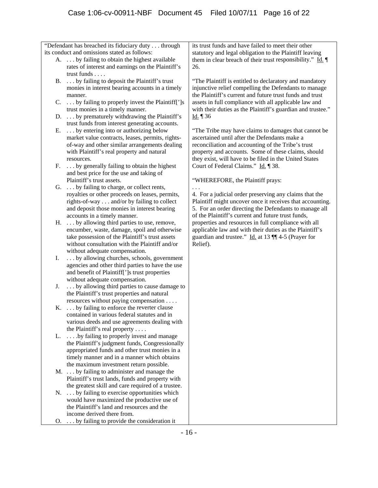"Defendant has breached its fiduciary duty . . . through  $B. \ldots$  by failing to deposit the Plaintiff's trust monies in interest bearing accounts in a timely  $C. \ldots$  by failing to properly invest the Plaintiff[']s and best price for the use and taking of royalties or other proceeds on leases, permits, rights-of-way  $\dots$  and/or by failing to collect e encumber, waste, damage, spoil and otherwis I. . . . by allowing churches, schools, government agencies and other third parties to have the use J. ... by allowing third parties to cause damage to the Plaintiff's trust properties and natural  $K. \ldots$  by failing to enforce the reverter clause L. . . . . by failing to properly invest and manage the Plaintiff's judgment funds, Congressionally appropriated funds and other trust monies in a the maximum investment return possible.  $N. \ldots$  by failing to exercise opportunities which would have maximized the productive use of  $\Omega$ . . . . by failing to provide the consideration it them in clear breach of their trust responsibility."  $\underline{Id}$ . its conduct and omissions stated as follows: A. . . . by failing to obtain the highest available rates of interest and earnings on the Plaintiff's trust funds . . . . manner. trust monies in a timely manner. D. ... by prematurely withdrawing the Plaintiff's trust funds from interest generating accounts. E. . . . by entering into or authorizing below market value contracts, leases, permits, rightsof-way and other similar arrangements dealing with Plaintiff's real property and natural resources. F. . . . by generally failing to obtain the highest Plaintiff's trust assets. G. . . . by failing to charge, or collect rents, and deposit those monies in interest bearing accounts in a timely manner. H. . . . by allowing third parties to use, remove, take possession of the Plaintiff's trust assets without consultation with the Plaintiff and/or without adequate compensation. and benefit of Plaintiff[']s trust properties without adequate compensation. resources without paying compensation . . . . contained in various federal statutes and in various deeds and use agreements dealing with the Plaintiff's real property . . . . timely manner and in a manner which obtains M. . . . by failing to administer and manage the Plaintiff's trust lands, funds and property with the greatest skill and care required of a trustee. the Plaintiff's land and resources and the income derived there from. its trust funds and have failed to meet their other statutory and legal obligation to the Plaintiff leaving 26. injunctive relief compelling the Defendants to manage with their duties as the Plaintiff's guardian and trustee." Id.  $\P$  36 "The Plaintiff is entitled to declaratory and mandatory the Plaintiff's current and future trust funds and trust assets in full compliance with all applicable law and "The Tribe may have claims to damages that cannot be ascertained until after the Defendants make a reconciliation and accounting of the Tribe's trust property and accounts. Some of these claims, should they exist, will have to be filed in the United States Court of Federal Claims." Id. ¶ 38. "WHEREFORE, the Plaintiff prays: . . . 4. For a judicial order preserving any claims that the Plaintiff might uncover once it receives that accounting. 5. For an order directing the Defendants to manage all of the Plaintiff's current and future trust funds, properties and resources in full compliance with all applicable law and with their duties as the Plaintiff's guardian and trustee." Id. at 13 || 4-5 (Prayer for Relief).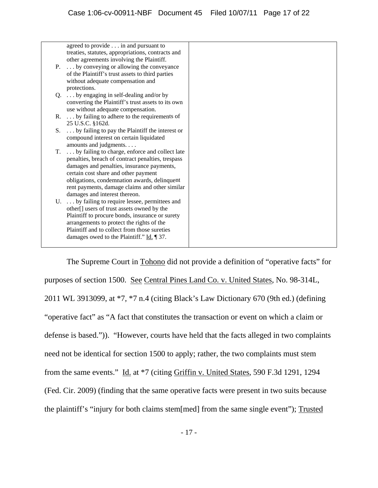|    | agreed to provide in and pursuant to                     |
|----|----------------------------------------------------------|
|    | treaties, statutes, appropriations, contracts and        |
|    | other agreements involving the Plaintiff.                |
|    | P.  by conveying or allowing the conveyance              |
|    | of the Plaintiff's trust assets to third parties         |
|    | without adequate compensation and                        |
|    | protections.                                             |
|    | $Q. \ldots$ by engaging in self-dealing and/or by        |
|    | converting the Plaintiff's trust assets to its own       |
|    | use without adequate compensation.                       |
|    | R.  by failing to adhere to the requirements of          |
|    | 25 U.S.C. §162d.                                         |
| S. | by failing to pay the Plaintiff the interest or          |
|    | compound interest on certain liquidated                  |
|    | amounts and judgments.                                   |
| T. | by failing to charge, enforce and collect late           |
|    | penalties, breach of contract penalties, trespass        |
|    | damages and penalties, insurance payments,               |
|    | certain cost share and other payment                     |
|    | obligations, condemnation awards, delinquent             |
|    | rent payments, damage claims and other similar           |
|    | damages and interest thereon.                            |
|    | U.  by failing to require lessee, permittees and         |
|    | other[] users of trust assets owned by the               |
|    | Plaintiff to procure bonds, insurance or surety          |
|    | arrangements to protect the rights of the                |
|    | Plaintiff and to collect from those sureties             |
|    | damages owed to the Plaintiff." $\underline{Id}$ . [37.] |
|    |                                                          |

The Supreme Court in Tohono did not provide a definition of "operative facts" for purposes of section 1500. See Central Pines Land Co. v. United States, No. 98-314L, 2011 WL 3913099, at \*7, \*7 n.4 (citing Black's Law Dictionary 670 (9th ed.) (defining "operative fact" as "A fact that constitutes the transaction or event on which a claim or defense is based.")). "However, courts have held that the facts alleged in two complaints need not be identical for section 1500 to apply; rather, the two complaints must stem from the same events." Id. at \*7 (citing Griffin v. United States, 590 F.3d 1291, 1294 (Fed. Cir. 2009) (finding that the same operative facts were present in two suits because the plaintiff's "injury for both claims stem[med] from the same single event"); Trusted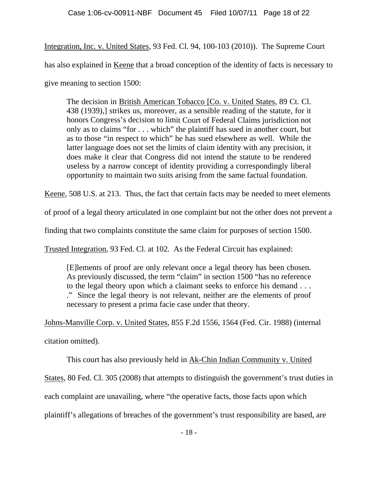Integration, Inc. v. United States, 93 Fed . Cl. 94, 100-103 (2010)). The Supreme Court

has also explained in Keene that a broad conception of the identity of facts is necessary to

give meaning to section 1500:

The decision in British American Tobacco [Co. v. United States, 89 Ct. Cl. 438 (1939),] strikes us, moreover, as a sensible reading of the statute, for it honors Congress's decision to limit Court of Federal Claims jurisdiction not only as to claims "for . . . which" the plaintiff has sued in another court, but as to those "in respect to which" he has sued elsewhere as well. While the does make it clear that Congress did not intend the statute to be rendered opportunity to maintain two suits arising from the same factual foundation. latter language does not set the limits of claim identity with any precision, it useless by a narrow concept of identity providing a correspondingly liberal

Keene, 508 U.S. at 213. Thus, the fact that certain facts may be needed to meet elements

of proof of a legal theory articulated in one complaint but not the other does not prevent a

finding that two complaints constitute the same claim for purposes of section 1500.

Trusted Integration, 93 Fed. Cl. at 102. As the Federal Circuit has explained:

[E]lements of proof are only relevant once a legal theory has been chosen. to the legal theory upon which a claimant seeks to enforce his demand . . . necessary to present a prima facie case under that theory. As previously discussed, the term "claim" in section 1500 "has no reference ." Since the legal theory is not relevant, neither are the elements of proof

Johns-Manville Corp. v. United States , 855 F.2d 1556, 1564 (Fed. Cir. 1988) (internal citation omitted).

This court has also previously held in Ak-Chin Indian Community v. United

States, 80 Fed. Cl. 305 (2008) that attempts to distinguish the government's trust duties in

each c omplaint are unavailing, where "the operative facts, those facts upon which

plaintiff's allegations of breaches of the government's trust responsibility are based, are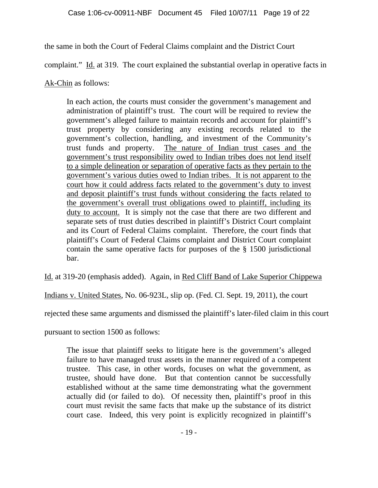the sam e in both the Court of Federal Claims complaint and the District Court

complaint." Id. at 319. The court explained the substantial overlap in operative facts in

Ak-Chin as follows:

In each action, the courts must consider the government's management and government's alleged failure to maintain records and account for plaintiff's government's collection, handling, and investment of the Communi ty's administration of plaintiff's trust. The court will be required to review the trust property by considering any existing records related to the trust funds and property. The nature of Indian trust cases and the government's trust responsibility owed to Indian tribes does not lend itself to a simple delineation or separation of operative facts as they pertain to the government's various duties owed to Indian tribes. It is not apparent to the court how it could address facts related to the government's duty to invest and deposit plaintiff's trust funds without considering the facts related to the government's overall trust obligations owed to plaintiff, including its duty to account. It is simply not the case that there are two different and and its Cou rt of Federal Claims complaint. Therefore, the court finds that separate sets of trust duties described in plaintiff's District Court complaint plaintiff's Court of Federal Claims complaint and District Court complaint bar. contain the same operative facts for purposes of the § 1500 jurisdictional

Id. at 319-20 (emphasis added). Again, in Red Cliff Band of Lake Superior Chippewa

Indians v. United States, No. 06-923L, slip op. (Fed. Cl. Sept. 19, 2011), the court

rejected these same arguments and dismissed the plaintiff's later-filed claim in this court

pursuant to section 1500 as follows:

The issue that plaintiff seeks to litigate here is the government's alleged failure to have managed trust assets in the manner required of a competent trustee. This case, in other words, focuses on what the government, as trustee, should have done. But that contention cannot be successfully established without at the same time demonstrating what the government actually did (or failed to do). Of necessity then, plaintiff's proof in this court must revisit the same facts that make up the substance of its district court case. Indeed, this very point is explicitly recognized in plaintiff's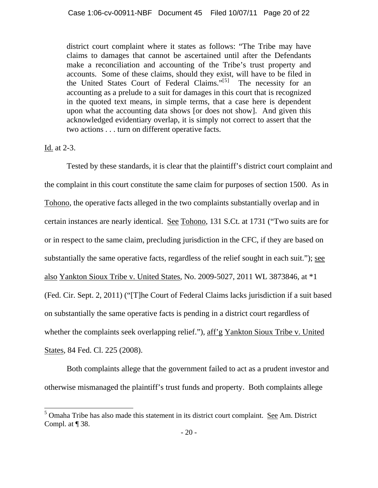district court complaint where it states as follows: "The Tribe may have claims to damages that cannot be ascertained until after the Defendants make a reconciliation and accounting of the Tribe's trust property and accounts. Some of these claims, should they exist, will have to be filed in the United States Court of Federal Claims."[5] The necessity for an accounting as a prelude to a suit for damages in this court that is recognized in the quoted text means, in simple terms, that a case here is dependent upon what the accounting data shows [or does not show]. And given this acknowledged evidentiary overlap, it is simply not correct to assert that the two actions . . . turn on different operative facts.

Id. at 2-3.

 $\overline{a}$ 

Tested by these standards, it is clear that the plaintiff's district court complaint and the complaint in this court constitute the same claim for purposes of section 1500. As in Tohono, the operative facts alleged in the two complaints substantially overlap and in certain instances are nearly identical. See Tohono, 131 S.Ct. at 1731 ("Two suits are for or in respect to the same claim, precluding jurisdiction in the CFC, if they are based on substantially the same operative facts, regardless of the relief sought in each suit."); see also Yankton Sioux Tribe v. United States, No. 2009-5027, 2011 WL 3873846, at \*1 (Fed. Cir. Sept. 2, 2011) ("[T]he Court of Federal Claims lacks jurisdiction if a suit based on substantially the same operative facts is pending in a district court regardless of whether the complaints seek overlapping relief."), aff'g Yankton Sioux Tribe v. United States, 84 Fed. Cl. 225 (2008).

Both complaints allege that the government failed to act as a prudent investor and otherwise mismanaged the plaintiff's trust funds and property. Both complaints allege

 $<sup>5</sup>$  Omaha Tribe has also made this statement in its district court complaint. See Am. District</sup> Compl. at ¶ 38.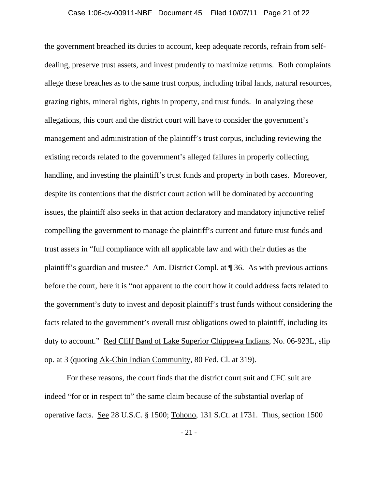the government breached its duties to account, keep adequate records, refrain from selfdealing, preserve trust assets, and invest prudently to maximize returns. Both complaints allege these breaches as to the same trust corpus, including tribal lands, natural resources, grazing rights, mineral rights, rights in property, and trust funds. In analyzing these allegations, this court and the district court will have to consider the government's management and administration of the plaintiff's trust corpus, including reviewing the existing records related to the government's alleged failures in properly collecting, handling, and investing the plaintiff's trust funds and property in both cases. Moreover, despite its contentions that the district court action will be dominated by accounting issues, the plaintiff also seeks in that action declaratory and mandatory injunctive relief compelling the government to manage the plaintiff's current and future trust funds and trust assets in "full compliance with all applicable law and with their duties as the plaintiff's guardian and trustee." Am. District Compl. at ¶ 36. As with previous actions before the court, here it is "not apparent to the court how it could address facts related to the government's duty to invest and deposit plaintiff's trust funds without considering the facts related to the government's overall trust obligations owed to plaintiff, including its duty to account." Red Cliff Band of Lake Superior Chippewa Indians, No. 06-923L, slip op. at 3 (quoting Ak-Chin Indian Community, 80 Fed. Cl. at 319).

For these reasons, the court finds that the district court suit and CFC suit are indeed "for or in respect to" the same claim because of the substantial overlap of operative facts. See 28 U.S.C. § 1500; Tohono, 131 S.Ct. at 1731. Thus, section 1500